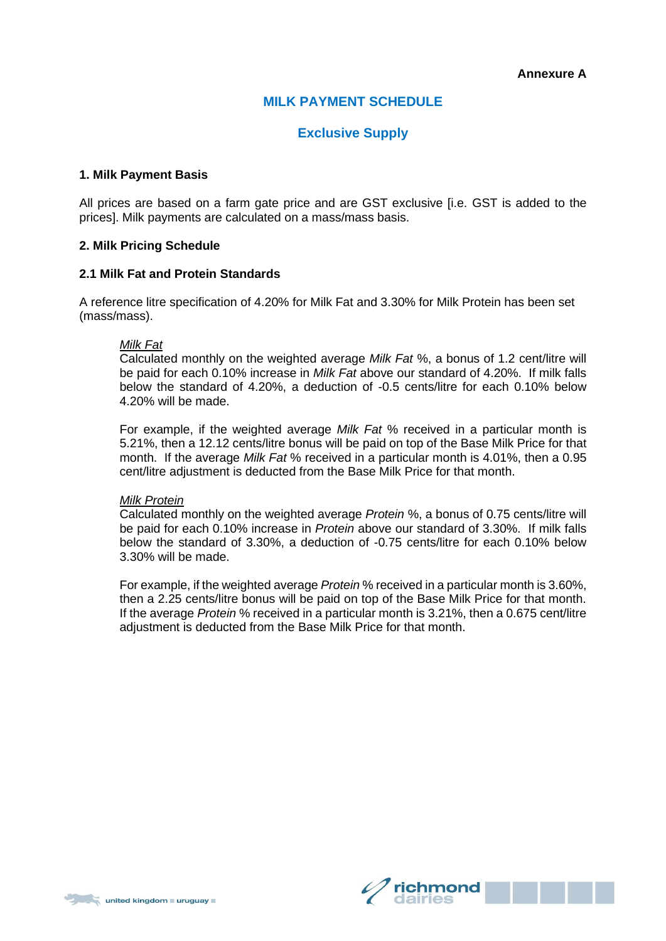# **MILK PAYMENT SCHEDULE**

## **Exclusive Supply**

#### **1. Milk Payment Basis**

All prices are based on a farm gate price and are GST exclusive [i.e. GST is added to the prices]. Milk payments are calculated on a mass/mass basis.

#### **2. Milk Pricing Schedule**

#### **2.1 Milk Fat and Protein Standards**

A reference litre specification of 4.20% for Milk Fat and 3.30% for Milk Protein has been set (mass/mass).

#### *Milk Fat*

Calculated monthly on the weighted average *Milk Fat* %, a bonus of 1.2 cent/litre will be paid for each 0.10% increase in *Milk Fat* above our standard of 4.20%. If milk falls below the standard of 4.20%, a deduction of -0.5 cents/litre for each 0.10% below 4.20% will be made.

For example, if the weighted average *Milk Fat* % received in a particular month is 5.21%, then a 12.12 cents/litre bonus will be paid on top of the Base Milk Price for that month. If the average *Milk Fat* % received in a particular month is 4.01%, then a 0.95 cent/litre adjustment is deducted from the Base Milk Price for that month.

#### *Milk Protein*

Calculated monthly on the weighted average *Protein* %, a bonus of 0.75 cents/litre will be paid for each 0.10% increase in *Protein* above our standard of 3.30%. If milk falls below the standard of 3.30%, a deduction of -0.75 cents/litre for each 0.10% below 3.30% will be made.

For example, if the weighted average *Protein* % received in a particular month is 3.60%, then a 2.25 cents/litre bonus will be paid on top of the Base Milk Price for that month. If the average *Protein* % received in a particular month is 3.21%, then a 0.675 cent/litre adjustment is deducted from the Base Milk Price for that month.

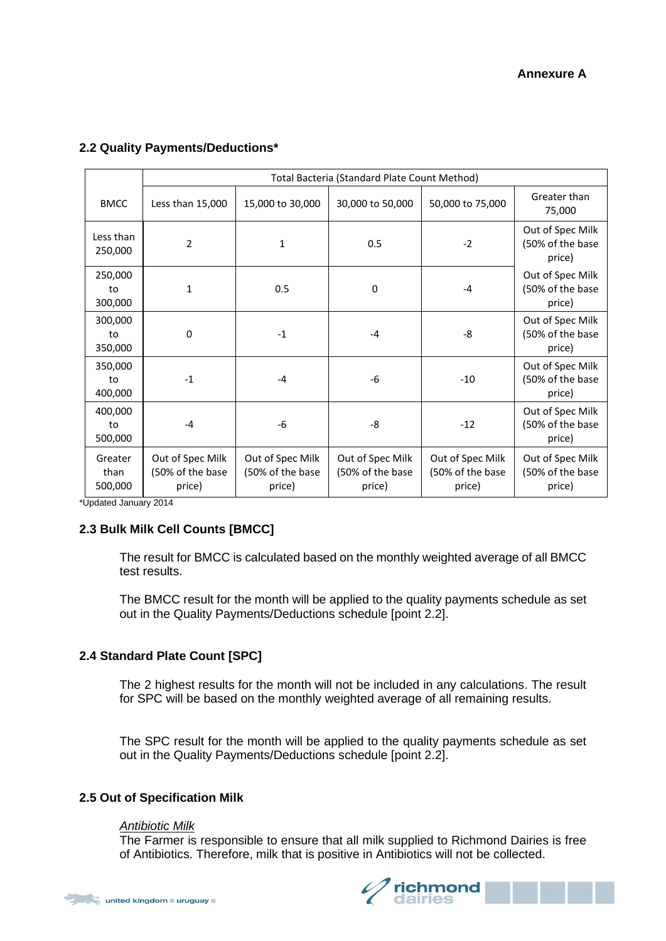|                            | Total Bacteria (Standard Plate Count Method)                           |                                                |                                                |                                                |                                                |  |  |  |
|----------------------------|------------------------------------------------------------------------|------------------------------------------------|------------------------------------------------|------------------------------------------------|------------------------------------------------|--|--|--|
| <b>BMCC</b>                | Less than 15,000                                                       | 15,000 to 30,000                               | 50,000 to 75,000<br>30,000 to 50,000           |                                                | Greater than<br>75,000                         |  |  |  |
| Less than<br>250,000       | $\overline{2}$                                                         | 1                                              | 0.5                                            | $-2$                                           | Out of Spec Milk<br>(50% of the base<br>price) |  |  |  |
| 250,000<br>to<br>300,000   | 1                                                                      | 0.5                                            | 0                                              | $-4$                                           | Out of Spec Milk<br>(50% of the base<br>price) |  |  |  |
| 300,000<br>to<br>350,000   | 0                                                                      | $-1$                                           | $-4$                                           | -8                                             | Out of Spec Milk<br>(50% of the base<br>price) |  |  |  |
| 350,000<br>to<br>400,000   | $-1$                                                                   | $-4$                                           | $-6$                                           | $-10$                                          | Out of Spec Milk<br>(50% of the base<br>price) |  |  |  |
| 400,000<br>to<br>500,000   | $-4$                                                                   | $-6$                                           | -8                                             | $-12$                                          | Out of Spec Milk<br>(50% of the base<br>price) |  |  |  |
| Greater<br>than<br>500,000 | Out of Spec Milk<br>(50% of the base<br>price)<br>$\sim$ $\sim$ $\sim$ | Out of Spec Milk<br>(50% of the base<br>price) | Out of Spec Milk<br>(50% of the base<br>price) | Out of Spec Milk<br>(50% of the base<br>price) | Out of Spec Milk<br>(50% of the base<br>price) |  |  |  |

## **2.2 Quality Payments/Deductions\***

\*Updated January 2014

# **2.3 Bulk Milk Cell Counts [BMCC]**

The result for BMCC is calculated based on the monthly weighted average of all BMCC test results.

The BMCC result for the month will be applied to the quality payments schedule as set out in the Quality Payments/Deductions schedule [point 2.2].

# **2.4 Standard Plate Count [SPC]**

The 2 highest results for the month will not be included in any calculations. The result for SPC will be based on the monthly weighted average of all remaining results.

The SPC result for the month will be applied to the quality payments schedule as set out in the Quality Payments/Deductions schedule [point 2.2].

## **2.5 Out of Specification Milk**

#### *Antibiotic Milk*

The Farmer is responsible to ensure that all milk supplied to Richmond Dairies is free of Antibiotics. Therefore, milk that is positive in Antibiotics will not be collected.

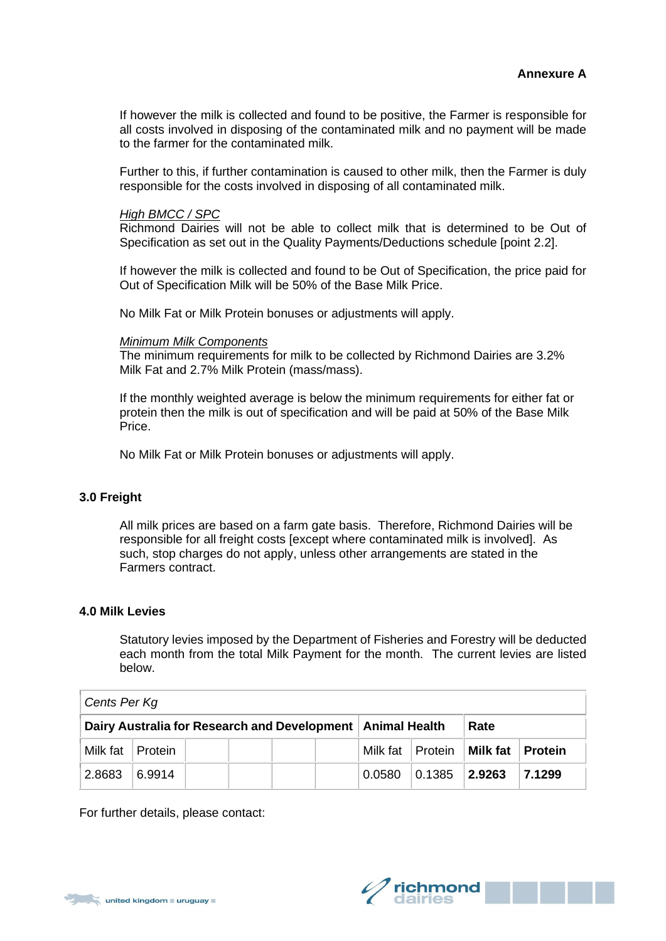If however the milk is collected and found to be positive, the Farmer is responsible for all costs involved in disposing of the contaminated milk and no payment will be made to the farmer for the contaminated milk.

Further to this, if further contamination is caused to other milk, then the Farmer is duly responsible for the costs involved in disposing of all contaminated milk.

#### *High BMCC / SPC*

Richmond Dairies will not be able to collect milk that is determined to be Out of Specification as set out in the Quality Payments/Deductions schedule [point 2.2].

If however the milk is collected and found to be Out of Specification, the price paid for Out of Specification Milk will be 50% of the Base Milk Price.

No Milk Fat or Milk Protein bonuses or adjustments will apply.

#### *Minimum Milk Components*

The minimum requirements for milk to be collected by Richmond Dairies are 3.2% Milk Fat and 2.7% Milk Protein (mass/mass).

If the monthly weighted average is below the minimum requirements for either fat or protein then the milk is out of specification and will be paid at 50% of the Base Milk Price.

No Milk Fat or Milk Protein bonuses or adjustments will apply.

### **3.0 Freight**

All milk prices are based on a farm gate basis. Therefore, Richmond Dairies will be responsible for all freight costs [except where contaminated milk is involved]. As such, stop charges do not apply, unless other arrangements are stated in the Farmers contract.

#### **4.0 Milk Levies**

Statutory levies imposed by the Department of Fisheries and Forestry will be deducted each month from the total Milk Payment for the month. The current levies are listed below.

| Cents Per Kg                                                 |        |  |  |        |                    |                  |        |  |  |  |  |
|--------------------------------------------------------------|--------|--|--|--------|--------------------|------------------|--------|--|--|--|--|
| Dairy Australia for Research and Development   Animal Health |        |  |  |        | Rate               |                  |        |  |  |  |  |
| Milk fat   Protein                                           |        |  |  |        | Milk fat   Protein | Milk fat Protein |        |  |  |  |  |
| 2.8683                                                       | 6.9914 |  |  | 0.0580 | $ 0.1385 $ 2.9263  |                  | 7.1299 |  |  |  |  |

For further details, please contact:

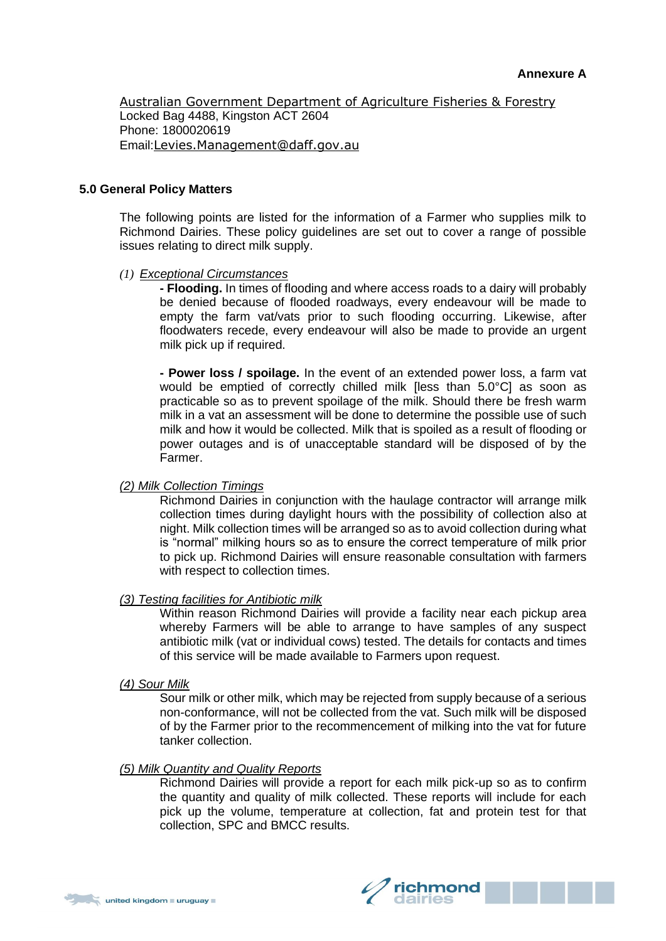[Australian Government Department of Agriculture Fisheries & Forestry](http://www.daff.gov.au/levies)  Locked Bag 4488, Kingston ACT 2604 Phone: 1800020619 Email:[Levies.Management@daff.gov.au](mailto:Levies.Management@daff.gov.au)

## **5.0 General Policy Matters**

The following points are listed for the information of a Farmer who supplies milk to Richmond Dairies. These policy guidelines are set out to cover a range of possible issues relating to direct milk supply.

*(1) Exceptional Circumstances*

**- Flooding.** In times of flooding and where access roads to a dairy will probably be denied because of flooded roadways, every endeavour will be made to empty the farm vat/vats prior to such flooding occurring. Likewise, after floodwaters recede, every endeavour will also be made to provide an urgent milk pick up if required.

**- Power loss / spoilage.** In the event of an extended power loss, a farm vat would be emptied of correctly chilled milk [less than 5.0°C] as soon as practicable so as to prevent spoilage of the milk. Should there be fresh warm milk in a vat an assessment will be done to determine the possible use of such milk and how it would be collected. Milk that is spoiled as a result of flooding or power outages and is of unacceptable standard will be disposed of by the Farmer.

## *(2) Milk Collection Timings*

Richmond Dairies in conjunction with the haulage contractor will arrange milk collection times during daylight hours with the possibility of collection also at night. Milk collection times will be arranged so as to avoid collection during what is "normal" milking hours so as to ensure the correct temperature of milk prior to pick up. Richmond Dairies will ensure reasonable consultation with farmers with respect to collection times.

#### *(3) Testing facilities for Antibiotic milk*

Within reason Richmond Dairies will provide a facility near each pickup area whereby Farmers will be able to arrange to have samples of any suspect antibiotic milk (vat or individual cows) tested. The details for contacts and times of this service will be made available to Farmers upon request.

#### *(4) Sour Milk*

Sour milk or other milk, which may be rejected from supply because of a serious non-conformance, will not be collected from the vat. Such milk will be disposed of by the Farmer prior to the recommencement of milking into the vat for future tanker collection.

#### *(5) Milk Quantity and Quality Reports*

Richmond Dairies will provide a report for each milk pick-up so as to confirm the quantity and quality of milk collected. These reports will include for each pick up the volume, temperature at collection, fat and protein test for that collection, SPC and BMCC results.